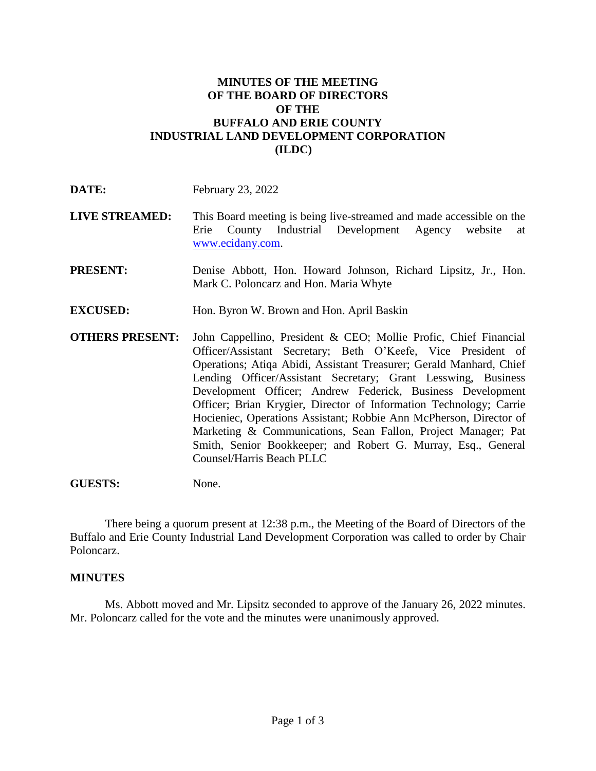## **MINUTES OF THE MEETING OF THE BOARD OF DIRECTORS OF THE BUFFALO AND ERIE COUNTY INDUSTRIAL LAND DEVELOPMENT CORPORATION (ILDC)**

**DATE:** February 23, 2022

- **LIVE STREAMED:** This Board meeting is being live-streamed and made accessible on the Erie County Industrial Development Agency website at [www.ecidany.com.](http://www.ecidany.com/)
- **PRESENT:** Denise Abbott, Hon. Howard Johnson, Richard Lipsitz, Jr., Hon. Mark C. Poloncarz and Hon. Maria Whyte
- **EXCUSED:** Hon. Byron W. Brown and Hon. April Baskin
- **OTHERS PRESENT:** John Cappellino, President & CEO; Mollie Profic, Chief Financial Officer/Assistant Secretary; Beth O'Keefe, Vice President of Operations; Atiqa Abidi, Assistant Treasurer; Gerald Manhard, Chief Lending Officer/Assistant Secretary; Grant Lesswing, Business Development Officer; Andrew Federick, Business Development Officer; Brian Krygier, Director of Information Technology; Carrie Hocieniec, Operations Assistant; Robbie Ann McPherson, Director of Marketing & Communications, Sean Fallon, Project Manager; Pat Smith, Senior Bookkeeper; and Robert G. Murray, Esq., General Counsel/Harris Beach PLLC

## **GUESTS:** None.

There being a quorum present at 12:38 p.m., the Meeting of the Board of Directors of the Buffalo and Erie County Industrial Land Development Corporation was called to order by Chair Poloncarz.

## **MINUTES**

Ms. Abbott moved and Mr. Lipsitz seconded to approve of the January 26, 2022 minutes. Mr. Poloncarz called for the vote and the minutes were unanimously approved.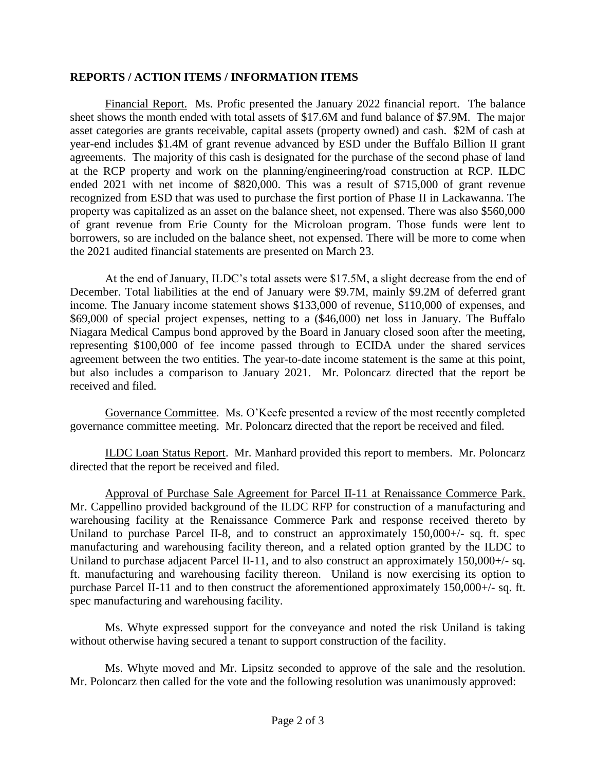## **REPORTS / ACTION ITEMS / INFORMATION ITEMS**

Financial Report. Ms. Profic presented the January 2022 financial report. The balance sheet shows the month ended with total assets of \$17.6M and fund balance of \$7.9M. The major asset categories are grants receivable, capital assets (property owned) and cash. \$2M of cash at year-end includes \$1.4M of grant revenue advanced by ESD under the Buffalo Billion II grant agreements. The majority of this cash is designated for the purchase of the second phase of land at the RCP property and work on the planning/engineering/road construction at RCP. ILDC ended 2021 with net income of \$820,000. This was a result of \$715,000 of grant revenue recognized from ESD that was used to purchase the first portion of Phase II in Lackawanna. The property was capitalized as an asset on the balance sheet, not expensed. There was also \$560,000 of grant revenue from Erie County for the Microloan program. Those funds were lent to borrowers, so are included on the balance sheet, not expensed. There will be more to come when the 2021 audited financial statements are presented on March 23.

At the end of January, ILDC's total assets were \$17.5M, a slight decrease from the end of December. Total liabilities at the end of January were \$9.7M, mainly \$9.2M of deferred grant income. The January income statement shows \$133,000 of revenue, \$110,000 of expenses, and \$69,000 of special project expenses, netting to a (\$46,000) net loss in January. The Buffalo Niagara Medical Campus bond approved by the Board in January closed soon after the meeting, representing \$100,000 of fee income passed through to ECIDA under the shared services agreement between the two entities. The year-to-date income statement is the same at this point, but also includes a comparison to January 2021. Mr. Poloncarz directed that the report be received and filed.

Governance Committee. Ms. O'Keefe presented a review of the most recently completed governance committee meeting. Mr. Poloncarz directed that the report be received and filed.

ILDC Loan Status Report. Mr. Manhard provided this report to members. Mr. Poloncarz directed that the report be received and filed.

Approval of Purchase Sale Agreement for Parcel II-11 at Renaissance Commerce Park. Mr. Cappellino provided background of the ILDC RFP for construction of a manufacturing and warehousing facility at the Renaissance Commerce Park and response received thereto by Uniland to purchase Parcel II-8, and to construct an approximately 150,000+/- sq. ft. spec manufacturing and warehousing facility thereon, and a related option granted by the ILDC to Uniland to purchase adjacent Parcel II-11, and to also construct an approximately 150,000+/- sq. ft. manufacturing and warehousing facility thereon. Uniland is now exercising its option to purchase Parcel II-11 and to then construct the aforementioned approximately 150,000+/- sq. ft. spec manufacturing and warehousing facility.

Ms. Whyte expressed support for the conveyance and noted the risk Uniland is taking without otherwise having secured a tenant to support construction of the facility.

Ms. Whyte moved and Mr. Lipsitz seconded to approve of the sale and the resolution. Mr. Poloncarz then called for the vote and the following resolution was unanimously approved: